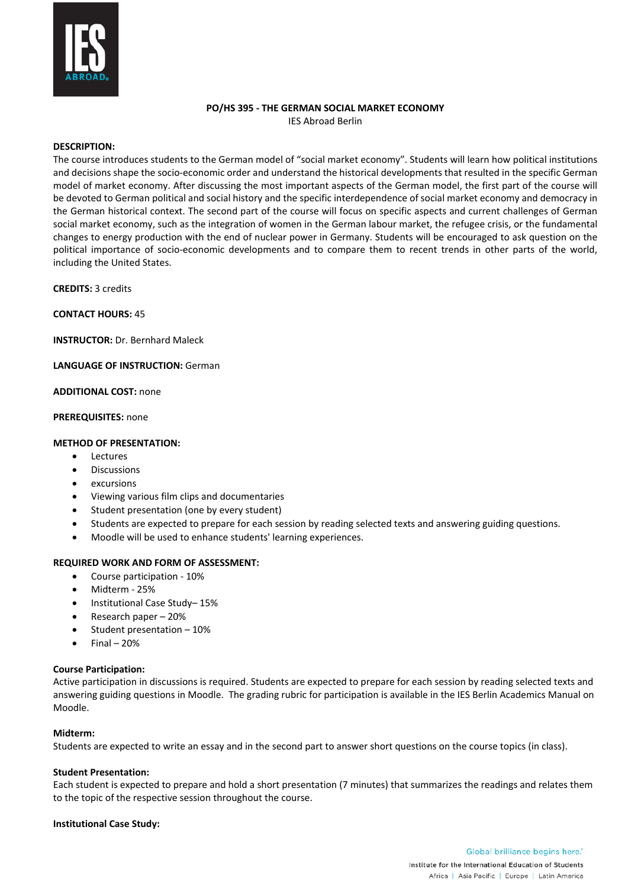

### **PO/HS 395 - THE GERMAN SOCIAL MARKET ECONOMY** IES Abroad Berlin

### **DESCRIPTION:**

The course introduces students to the German model of "social market economy". Students will learn how political institutions and decisions shape the socio-economic order and understand the historical developments that resulted in the specific German model of market economy. After discussing the most important aspects of the German model, the first part of the course will be devoted to German political and social history and the specific interdependence of social market economy and democracy in the German historical context. The second part of the course will focus on specific aspects and current challenges of German social market economy, such as the integration of women in the German labour market, the refugee crisis, or the fundamental changes to energy production with the end of nuclear power in Germany. Students will be encouraged to ask question on the political importance of socio-economic developments and to compare them to recent trends in other parts of the world, including the United States.

**CREDITS:** 3 credits

**CONTACT HOURS:** 45

**INSTRUCTOR:** Dr. Bernhard Maleck

**LANGUAGE OF INSTRUCTION:** German

**ADDITIONAL COST:** none

**PREREQUISITES:** none

## **METHOD OF PRESENTATION:**

- Lectures
- **Discussions**
- excursions
- Viewing various film clips and documentaries
- Student presentation (one by every student)
- Students are expected to prepare for each session by reading selected texts and answering guiding questions.
- Moodle will be used to enhance students' learning experiences.

## **REQUIRED WORK AND FORM OF ASSESSMENT:**

- Course participation 10%
- Midterm 25%
- Institutional Case Study– 15%
- Research paper 20%
- Student presentation 10%
- $Final 20%$

### **Course Participation:**

Active participation in discussions is required. Students are expected to prepare for each session by reading selected texts and answering guiding questions in Moodle. The grading rubric for participation is available in the IES Berlin Academics Manual on Moodle.

### **Midterm:**

Students are expected to write an essay and in the second part to answer short questions on the course topics (in class).

### **Student Presentation:**

Each student is expected to prepare and hold a short presentation (7 minutes) that summarizes the readings and relates them to the topic of the respective session throughout the course.

### **Institutional Case Study:**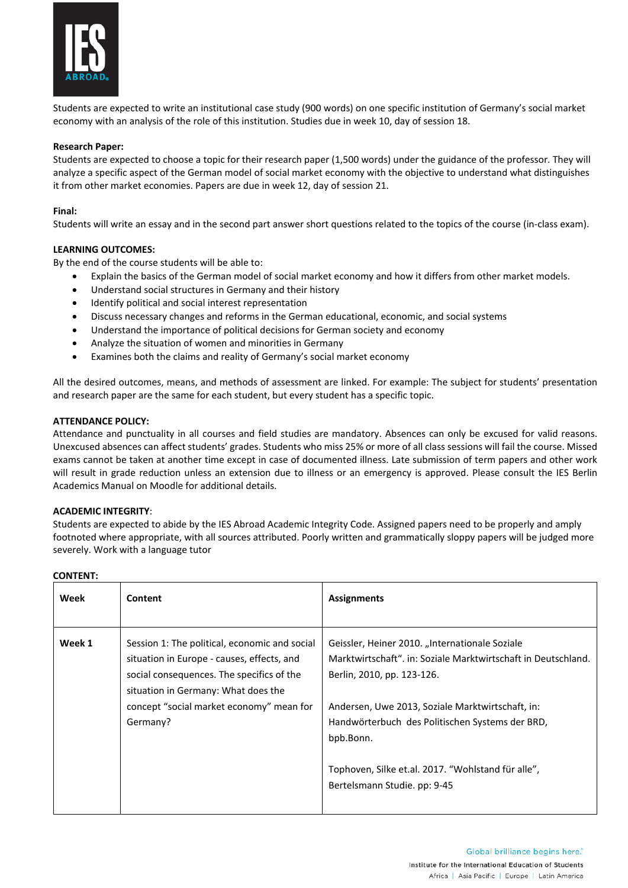

Students are expected to write an institutional case study (900 words) on one specific institution of Germany's social market economy with an analysis of the role of this institution. Studies due in week 10, day of session 18.

## **Research Paper:**

Students are expected to choose a topic for their research paper (1,500 words) under the guidance of the professor. They will analyze a specific aspect of the German model of social market economy with the objective to understand what distinguishes it from other market economies. Papers are due in week 12, day of session 21.

## **Final:**

Students will write an essay and in the second part answer short questions related to the topics of the course (in-class exam).

## **LEARNING OUTCOMES:**

By the end of the course students will be able to:

- Explain the basics of the German model of social market economy and how it differs from other market models.
- Understand social structures in Germany and their history
- Identify political and social interest representation
- Discuss necessary changes and reforms in the German educational, economic, and social systems
- Understand the importance of political decisions for German society and economy
- Analyze the situation of women and minorities in Germany
- Examines both the claims and reality of Germany's social market economy

All the desired outcomes, means, and methods of assessment are linked. For example: The subject for students' presentation and research paper are the same for each student, but every student has a specific topic.

## **ATTENDANCE POLICY:**

Attendance and punctuality in all courses and field studies are mandatory. Absences can only be excused for valid reasons. Unexcused absences can affect students' grades. Students who miss 25% or more of all class sessions will fail the course. Missed exams cannot be taken at another time except in case of documented illness. Late submission of term papers and other work will result in grade reduction unless an extension due to illness or an emergency is approved. Please consult the IES Berlin Academics Manual on Moodle for additional details.

## **ACADEMIC INTEGRITY**:

Students are expected to abide by the IES Abroad Academic Integrity Code. Assigned papers need to be properly and amply footnoted where appropriate, with all sources attributed. Poorly written and grammatically sloppy papers will be judged more severely. Work with a language tutor

## **CONTENT:**

| Week   | Content                                                                                                                                                                                                                                 | <b>Assignments</b>                                                                                                                                                                                                                                                                                                                                      |
|--------|-----------------------------------------------------------------------------------------------------------------------------------------------------------------------------------------------------------------------------------------|---------------------------------------------------------------------------------------------------------------------------------------------------------------------------------------------------------------------------------------------------------------------------------------------------------------------------------------------------------|
| Week 1 | Session 1: The political, economic and social<br>situation in Europe - causes, effects, and<br>social consequences. The specifics of the<br>situation in Germany: What does the<br>concept "social market economy" mean for<br>Germany? | Geissler, Heiner 2010. "Internationale Soziale<br>Marktwirtschaft", in: Soziale Marktwirtschaft in Deutschland.<br>Berlin, 2010, pp. 123-126.<br>Andersen, Uwe 2013, Soziale Marktwirtschaft, in:<br>Handwörterbuch des Politischen Systems der BRD,<br>bpb.Bonn.<br>Tophoven, Silke et.al. 2017. "Wohlstand für alle",<br>Bertelsmann Studie. pp: 9-45 |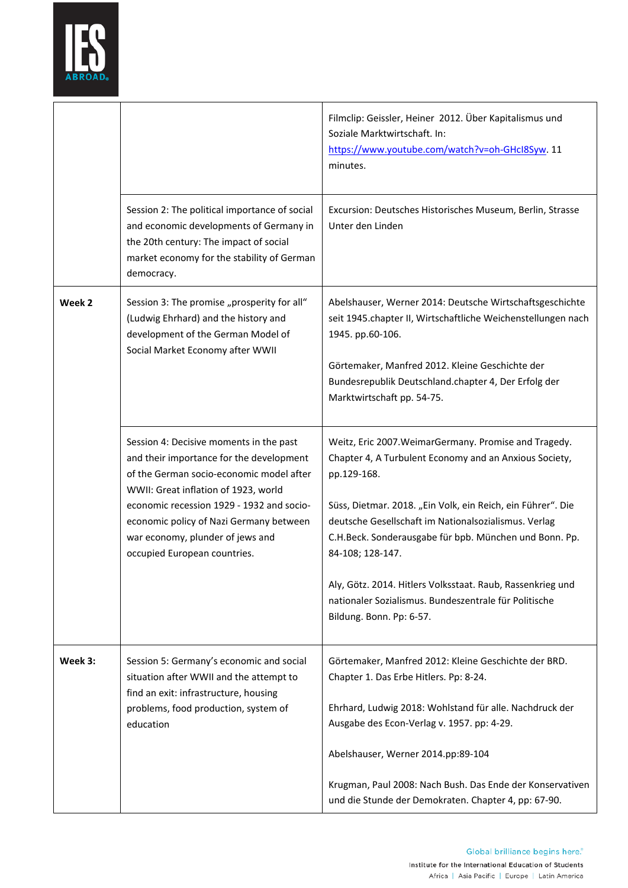

|         |                                                                                                                                                                                                                                                                                                                                     | Filmclip: Geissler, Heiner 2012. Über Kapitalismus und<br>Soziale Marktwirtschaft. In:<br>https://www.youtube.com/watch?v=oh-GHcl8Syw. 11<br>minutes.                                                                                                                                                                                                                                                                                                                                   |
|---------|-------------------------------------------------------------------------------------------------------------------------------------------------------------------------------------------------------------------------------------------------------------------------------------------------------------------------------------|-----------------------------------------------------------------------------------------------------------------------------------------------------------------------------------------------------------------------------------------------------------------------------------------------------------------------------------------------------------------------------------------------------------------------------------------------------------------------------------------|
|         | Session 2: The political importance of social<br>and economic developments of Germany in<br>the 20th century: The impact of social<br>market economy for the stability of German<br>democracy.                                                                                                                                      | Excursion: Deutsches Historisches Museum, Berlin, Strasse<br>Unter den Linden                                                                                                                                                                                                                                                                                                                                                                                                           |
| Week 2  | Session 3: The promise "prosperity for all"<br>(Ludwig Ehrhard) and the history and<br>development of the German Model of<br>Social Market Economy after WWII                                                                                                                                                                       | Abelshauser, Werner 2014: Deutsche Wirtschaftsgeschichte<br>seit 1945.chapter II, Wirtschaftliche Weichenstellungen nach<br>1945. pp.60-106.<br>Görtemaker, Manfred 2012. Kleine Geschichte der<br>Bundesrepublik Deutschland.chapter 4, Der Erfolg der<br>Marktwirtschaft pp. 54-75.                                                                                                                                                                                                   |
|         | Session 4: Decisive moments in the past<br>and their importance for the development<br>of the German socio-economic model after<br>WWII: Great inflation of 1923, world<br>economic recession 1929 - 1932 and socio-<br>economic policy of Nazi Germany between<br>war economy, plunder of jews and<br>occupied European countries. | Weitz, Eric 2007. Weimar Germany. Promise and Tragedy.<br>Chapter 4, A Turbulent Economy and an Anxious Society,<br>pp.129-168.<br>Süss, Dietmar. 2018. "Ein Volk, ein Reich, ein Führer". Die<br>deutsche Gesellschaft im Nationalsozialismus. Verlag<br>C.H.Beck. Sonderausgabe für bpb. München und Bonn. Pp.<br>84-108; 128-147.<br>Aly, Götz. 2014. Hitlers Volksstaat. Raub, Rassenkrieg und<br>nationaler Sozialismus. Bundeszentrale für Politische<br>Bildung. Bonn. Pp: 6-57. |
| Week 3: | Session 5: Germany's economic and social<br>situation after WWII and the attempt to<br>find an exit: infrastructure, housing<br>problems, food production, system of<br>education                                                                                                                                                   | Görtemaker, Manfred 2012: Kleine Geschichte der BRD.<br>Chapter 1. Das Erbe Hitlers. Pp: 8-24.<br>Ehrhard, Ludwig 2018: Wohlstand für alle. Nachdruck der<br>Ausgabe des Econ-Verlag v. 1957. pp: 4-29.<br>Abelshauser, Werner 2014.pp:89-104<br>Krugman, Paul 2008: Nach Bush. Das Ende der Konservativen<br>und die Stunde der Demokraten. Chapter 4, pp: 67-90.                                                                                                                      |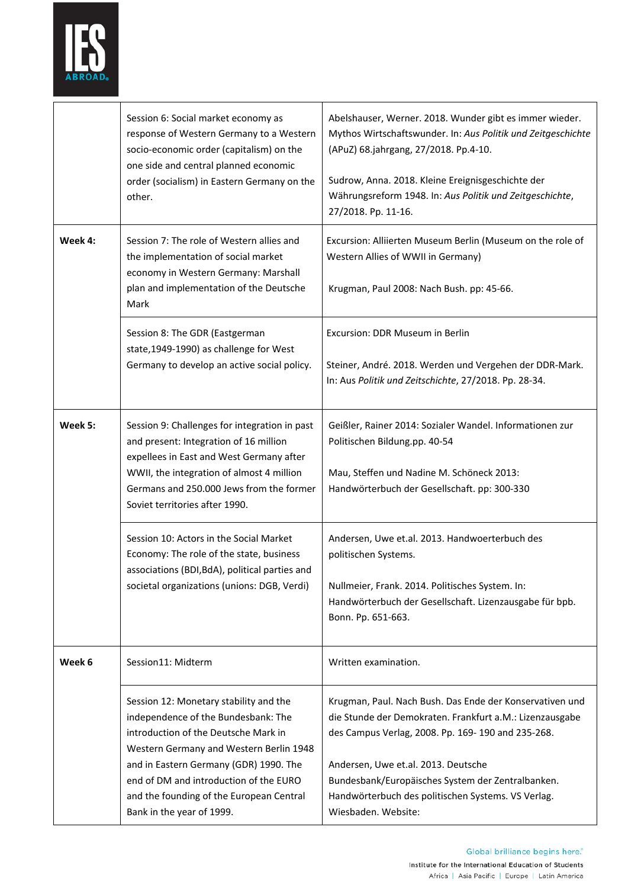

|         | Session 6: Social market economy as<br>response of Western Germany to a Western<br>socio-economic order (capitalism) on the<br>one side and central planned economic<br>order (socialism) in Eastern Germany on the<br>other.                                                                                                 | Abelshauser, Werner. 2018. Wunder gibt es immer wieder.<br>Mythos Wirtschaftswunder. In: Aus Politik und Zeitgeschichte<br>(APuZ) 68.jahrgang, 27/2018. Pp.4-10.<br>Sudrow, Anna. 2018. Kleine Ereignisgeschichte der<br>Währungsreform 1948. In: Aus Politik und Zeitgeschichte,<br>27/2018. Pp. 11-16.                                           |
|---------|-------------------------------------------------------------------------------------------------------------------------------------------------------------------------------------------------------------------------------------------------------------------------------------------------------------------------------|----------------------------------------------------------------------------------------------------------------------------------------------------------------------------------------------------------------------------------------------------------------------------------------------------------------------------------------------------|
| Week 4: | Session 7: The role of Western allies and<br>the implementation of social market<br>economy in Western Germany: Marshall<br>plan and implementation of the Deutsche<br>Mark                                                                                                                                                   | Excursion: Alliierten Museum Berlin (Museum on the role of<br>Western Allies of WWII in Germany)<br>Krugman, Paul 2008: Nach Bush. pp: 45-66.                                                                                                                                                                                                      |
|         | Session 8: The GDR (Eastgerman<br>state, 1949-1990) as challenge for West<br>Germany to develop an active social policy.                                                                                                                                                                                                      | Excursion: DDR Museum in Berlin<br>Steiner, André. 2018. Werden und Vergehen der DDR-Mark.<br>In: Aus Politik und Zeitschichte, 27/2018. Pp. 28-34.                                                                                                                                                                                                |
| Week 5: | Session 9: Challenges for integration in past<br>and present: Integration of 16 million<br>expellees in East and West Germany after<br>WWII, the integration of almost 4 million<br>Germans and 250.000 Jews from the former<br>Soviet territories after 1990.                                                                | Geißler, Rainer 2014: Sozialer Wandel. Informationen zur<br>Politischen Bildung.pp. 40-54<br>Mau, Steffen und Nadine M. Schöneck 2013:<br>Handwörterbuch der Gesellschaft. pp: 300-330                                                                                                                                                             |
|         | Session 10: Actors in the Social Market<br>Economy: The role of the state, business<br>associations (BDI, BdA), political parties and<br>societal organizations (unions: DGB, Verdi)                                                                                                                                          | Andersen, Uwe et.al. 2013. Handwoerterbuch des<br>politischen Systems.<br>Nullmeier, Frank. 2014. Politisches System. In:<br>Handwörterbuch der Gesellschaft. Lizenzausgabe für bpb.<br>Bonn. Pp. 651-663.                                                                                                                                         |
| Week 6  | Session11: Midterm                                                                                                                                                                                                                                                                                                            | Written examination.                                                                                                                                                                                                                                                                                                                               |
|         | Session 12: Monetary stability and the<br>independence of the Bundesbank: The<br>introduction of the Deutsche Mark in<br>Western Germany and Western Berlin 1948<br>and in Eastern Germany (GDR) 1990. The<br>end of DM and introduction of the EURO<br>and the founding of the European Central<br>Bank in the year of 1999. | Krugman, Paul. Nach Bush. Das Ende der Konservativen und<br>die Stunde der Demokraten. Frankfurt a.M.: Lizenzausgabe<br>des Campus Verlag, 2008. Pp. 169-190 and 235-268.<br>Andersen, Uwe et.al. 2013. Deutsche<br>Bundesbank/Europäisches System der Zentralbanken.<br>Handwörterbuch des politischen Systems. VS Verlag.<br>Wiesbaden. Website: |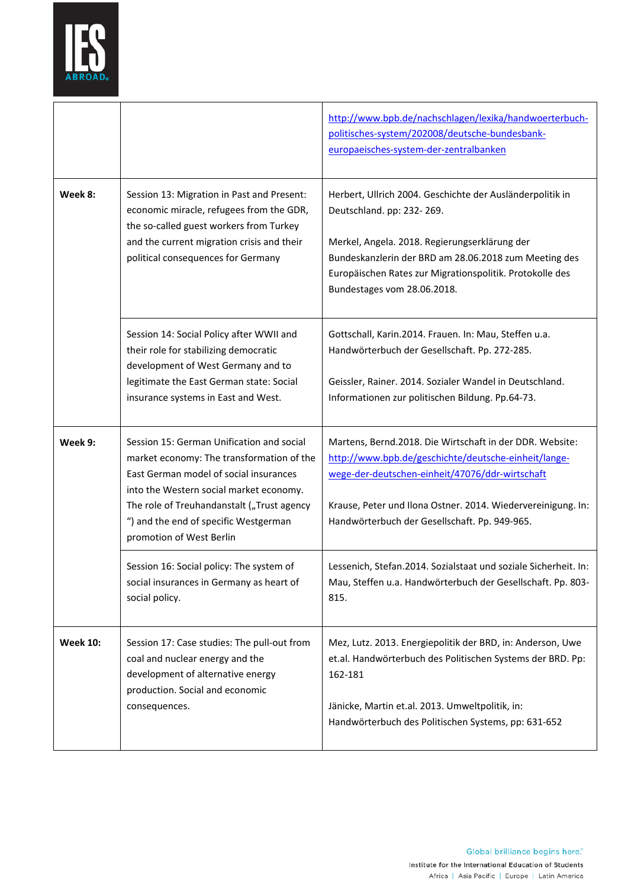

|                 |                                                                                                                                                                                                                                                                                                | http://www.bpb.de/nachschlagen/lexika/handwoerterbuch-<br>politisches-system/202008/deutsche-bundesbank-<br>europaeisches-system-der-zentralbanken                                                                                                                                          |
|-----------------|------------------------------------------------------------------------------------------------------------------------------------------------------------------------------------------------------------------------------------------------------------------------------------------------|---------------------------------------------------------------------------------------------------------------------------------------------------------------------------------------------------------------------------------------------------------------------------------------------|
| Week 8:         | Session 13: Migration in Past and Present:<br>economic miracle, refugees from the GDR,<br>the so-called guest workers from Turkey<br>and the current migration crisis and their<br>political consequences for Germany                                                                          | Herbert, Ullrich 2004. Geschichte der Ausländerpolitik in<br>Deutschland. pp: 232-269.<br>Merkel, Angela. 2018. Regierungserklärung der<br>Bundeskanzlerin der BRD am 28.06.2018 zum Meeting des<br>Europäischen Rates zur Migrationspolitik. Protokolle des<br>Bundestages vom 28.06.2018. |
|                 | Session 14: Social Policy after WWII and<br>their role for stabilizing democratic<br>development of West Germany and to<br>legitimate the East German state: Social<br>insurance systems in East and West.                                                                                     | Gottschall, Karin.2014. Frauen. In: Mau, Steffen u.a.<br>Handwörterbuch der Gesellschaft. Pp. 272-285.<br>Geissler, Rainer. 2014. Sozialer Wandel in Deutschland.<br>Informationen zur politischen Bildung. Pp.64-73.                                                                       |
| Week 9:         | Session 15: German Unification and social<br>market economy: The transformation of the<br>East German model of social insurances<br>into the Western social market economy.<br>The role of Treuhandanstalt ("Trust agency<br>") and the end of specific Westgerman<br>promotion of West Berlin | Martens, Bernd.2018. Die Wirtschaft in der DDR. Website:<br>http://www.bpb.de/geschichte/deutsche-einheit/lange-<br>wege-der-deutschen-einheit/47076/ddr-wirtschaft<br>Krause, Peter und Ilona Ostner. 2014. Wiedervereinigung. In:<br>Handwörterbuch der Gesellschaft. Pp. 949-965.        |
|                 | Session 16: Social policy: The system of<br>social insurances in Germany as heart of<br>social policy.                                                                                                                                                                                         | Lessenich, Stefan.2014. Sozialstaat und soziale Sicherheit. In:<br>Mau, Steffen u.a. Handwörterbuch der Gesellschaft. Pp. 803-<br>815.                                                                                                                                                      |
| <b>Week 10:</b> | Session 17: Case studies: The pull-out from<br>coal and nuclear energy and the<br>development of alternative energy<br>production. Social and economic<br>consequences.                                                                                                                        | Mez, Lutz. 2013. Energiepolitik der BRD, in: Anderson, Uwe<br>et.al. Handwörterbuch des Politischen Systems der BRD. Pp:<br>162-181<br>Jänicke, Martin et.al. 2013. Umweltpolitik, in:<br>Handwörterbuch des Politischen Systems, pp: 631-652                                               |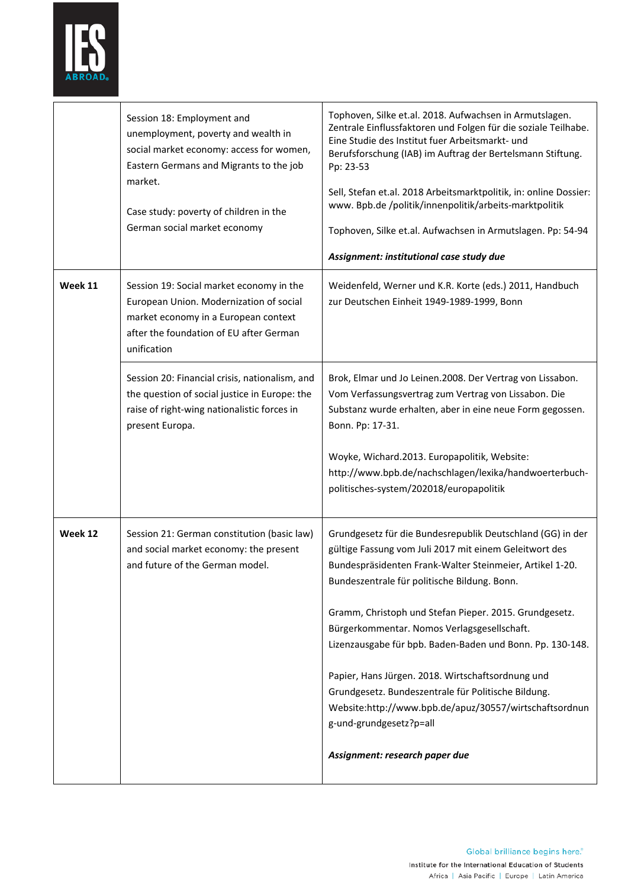

|         | Session 18: Employment and<br>unemployment, poverty and wealth in<br>social market economy: access for women,<br>Eastern Germans and Migrants to the job<br>market.<br>Case study: poverty of children in the<br>German social market economy | Tophoven, Silke et.al. 2018. Aufwachsen in Armutslagen.<br>Zentrale Einflussfaktoren und Folgen für die soziale Teilhabe.<br>Eine Studie des Institut fuer Arbeitsmarkt- und<br>Berufsforschung (IAB) im Auftrag der Bertelsmann Stiftung.<br>Pp: 23-53<br>Sell, Stefan et.al. 2018 Arbeitsmarktpolitik, in: online Dossier:<br>www. Bpb.de /politik/innenpolitik/arbeits-marktpolitik<br>Tophoven, Silke et.al. Aufwachsen in Armutslagen. Pp: 54-94<br>Assignment: institutional case study due                                                                                                                                         |
|---------|-----------------------------------------------------------------------------------------------------------------------------------------------------------------------------------------------------------------------------------------------|-------------------------------------------------------------------------------------------------------------------------------------------------------------------------------------------------------------------------------------------------------------------------------------------------------------------------------------------------------------------------------------------------------------------------------------------------------------------------------------------------------------------------------------------------------------------------------------------------------------------------------------------|
| Week 11 | Session 19: Social market economy in the<br>European Union. Modernization of social<br>market economy in a European context<br>after the foundation of EU after German<br>unification                                                         | Weidenfeld, Werner und K.R. Korte (eds.) 2011, Handbuch<br>zur Deutschen Einheit 1949-1989-1999, Bonn                                                                                                                                                                                                                                                                                                                                                                                                                                                                                                                                     |
|         | Session 20: Financial crisis, nationalism, and<br>the question of social justice in Europe: the<br>raise of right-wing nationalistic forces in<br>present Europa.                                                                             | Brok, Elmar und Jo Leinen.2008. Der Vertrag von Lissabon.<br>Vom Verfassungsvertrag zum Vertrag von Lissabon. Die<br>Substanz wurde erhalten, aber in eine neue Form gegossen.<br>Bonn. Pp: 17-31.<br>Woyke, Wichard.2013. Europapolitik, Website:<br>http://www.bpb.de/nachschlagen/lexika/handwoerterbuch-<br>politisches-system/202018/europapolitik                                                                                                                                                                                                                                                                                   |
| Week 12 | Session 21: German constitution (basic law)<br>and social market economy: the present<br>and future of the German model.                                                                                                                      | Grundgesetz für die Bundesrepublik Deutschland (GG) in der<br>gültige Fassung vom Juli 2017 mit einem Geleitwort des<br>Bundespräsidenten Frank-Walter Steinmeier, Artikel 1-20.<br>Bundeszentrale für politische Bildung. Bonn.<br>Gramm, Christoph und Stefan Pieper. 2015. Grundgesetz.<br>Bürgerkommentar. Nomos Verlagsgesellschaft.<br>Lizenzausgabe für bpb. Baden-Baden und Bonn. Pp. 130-148.<br>Papier, Hans Jürgen. 2018. Wirtschaftsordnung und<br>Grundgesetz. Bundeszentrale für Politische Bildung.<br>Website:http://www.bpb.de/apuz/30557/wirtschaftsordnun<br>g-und-grundgesetz?p=all<br>Assignment: research paper due |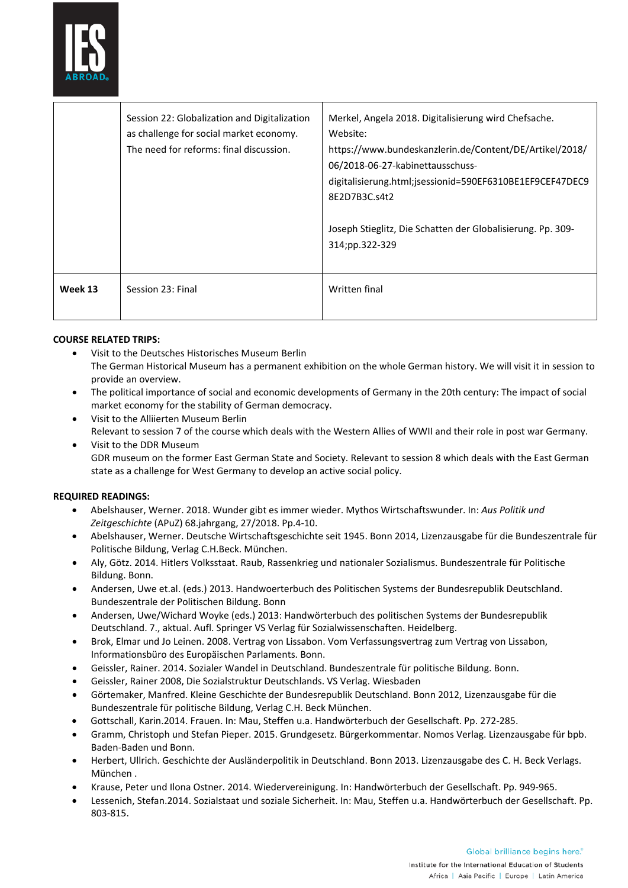

|         | Session 22: Globalization and Digitalization<br>as challenge for social market economy.<br>The need for reforms: final discussion. | Merkel, Angela 2018. Digitalisierung wird Chefsache.<br>Website:<br>https://www.bundeskanzlerin.de/Content/DE/Artikel/2018/<br>06/2018-06-27-kabinettausschuss-<br>digitalisierung.html;jsessionid=590EF6310BE1EF9CEF47DEC9<br>8E2D7B3C.s4t2<br>Joseph Stieglitz, Die Schatten der Globalisierung. Pp. 309-<br>314;pp.322-329 |
|---------|------------------------------------------------------------------------------------------------------------------------------------|-------------------------------------------------------------------------------------------------------------------------------------------------------------------------------------------------------------------------------------------------------------------------------------------------------------------------------|
| Week 13 | Session 23: Final                                                                                                                  | Written final                                                                                                                                                                                                                                                                                                                 |
|         |                                                                                                                                    |                                                                                                                                                                                                                                                                                                                               |

# **COURSE RELATED TRIPS:**

- Visit to the Deutsches Historisches Museum Berlin The German Historical Museum has a permanent exhibition on the whole German history. We will visit it in session to provide an overview.
- The political importance of social and economic developments of Germany in the 20th century: The impact of social market economy for the stability of German democracy.
- Visit to the Alliierten Museum Berlin Relevant to session 7 of the course which deals with the Western Allies of WWII and their role in post war Germany.
- Visit to the DDR Museum GDR museum on the former East German State and Society. Relevant to session 8 which deals with the East German state as a challenge for West Germany to develop an active social policy.

## **REQUIRED READINGS:**

- Abelshauser, Werner. 2018. Wunder gibt es immer wieder. Mythos Wirtschaftswunder. In: *Aus Politik und Zeitgeschichte* (APuZ) 68.jahrgang, 27/2018. Pp.4-10.
- Abelshauser, Werner. Deutsche Wirtschaftsgeschichte seit 1945. Bonn 2014, Lizenzausgabe für die Bundeszentrale für Politische Bildung, Verlag C.H.Beck. München.
- Aly, Götz. 2014. Hitlers Volksstaat. Raub, Rassenkrieg und nationaler Sozialismus. Bundeszentrale für Politische Bildung. Bonn.
- Andersen, Uwe et.al. (eds.) 2013. Handwoerterbuch des Politischen Systems der Bundesrepublik Deutschland. Bundeszentrale der Politischen Bildung. Bonn
- Andersen, Uwe/Wichard Woyke (eds.) 2013: Handwörterbuch des politischen Systems der Bundesrepublik Deutschland. 7., aktual. Aufl. Springer VS Verlag für Sozialwissenschaften. Heidelberg.
- Brok, Elmar und Jo Leinen. 2008. Vertrag von Lissabon. Vom Verfassungsvertrag zum Vertrag von Lissabon, Informationsbüro des Europäischen Parlaments. Bonn.
- Geissler, Rainer. 2014. Sozialer Wandel in Deutschland. Bundeszentrale für politische Bildung. Bonn.
- Geissler, Rainer 2008, Die Sozialstruktur Deutschlands. VS Verlag. Wiesbaden
- Görtemaker, Manfred. Kleine Geschichte der Bundesrepublik Deutschland. Bonn 2012, Lizenzausgabe für die Bundeszentrale für politische Bildung, Verlag C.H. Beck München.
- Gottschall, Karin.2014. Frauen. In: Mau, Steffen u.a. Handwörterbuch der Gesellschaft. Pp. 272-285.
- Gramm, Christoph und Stefan Pieper. 2015. Grundgesetz. Bürgerkommentar. Nomos Verlag. Lizenzausgabe für bpb. Baden-Baden und Bonn.
- Herbert, Ullrich. Geschichte der Ausländerpolitik in Deutschland. Bonn 2013. Lizenzausgabe des C. H. Beck Verlags. München .
- Krause, Peter und Ilona Ostner. 2014. Wiedervereinigung. In: Handwörterbuch der Gesellschaft. Pp. 949-965.
- Lessenich, Stefan.2014. Sozialstaat und soziale Sicherheit. In: Mau, Steffen u.a. Handwörterbuch der Gesellschaft. Pp. 803-815.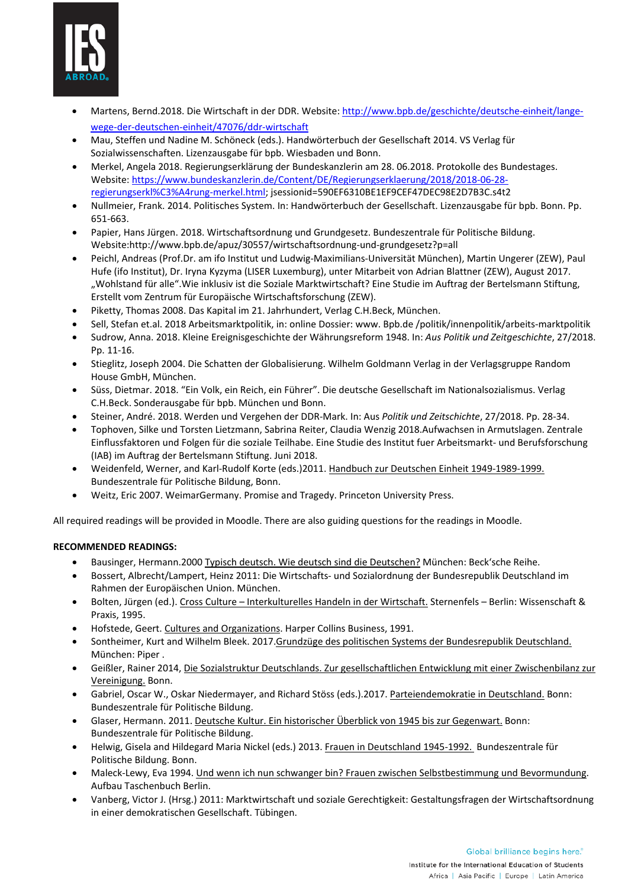

- Martens, Bernd.2018. Die Wirtschaft in der DDR. Website[: http://www.bpb.de/geschichte/deutsche-einheit/lange](http://www.bpb.de/geschichte/deutsche-einheit/lange-wege-der-deutschen-einheit/47076/ddr-wirtschaft)[wege-der-deutschen-einheit/47076/ddr-wirtschaft](http://www.bpb.de/geschichte/deutsche-einheit/lange-wege-der-deutschen-einheit/47076/ddr-wirtschaft)
- Mau, Steffen und Nadine M. Schöneck (eds.). Handwörterbuch der Gesellschaft 2014. VS Verlag für Sozialwissenschaften. Lizenzausgabe für bpb. Wiesbaden und Bonn.
- Merkel, Angela 2018. Regierungserklärung der Bundeskanzlerin am 28. 06.2018. Protokolle des Bundestages. Website: [https://www.bundeskanzlerin.de/Content/DE/Regierungserklaerung/2018/2018-06-28](https://www.bundeskanzlerin.de/Content/DE/Regierungserklaerung/2018/2018-06-28-regierungserkl%C3%A4rung-merkel.html) [regierungserkl%C3%A4rung-merkel.html;](https://www.bundeskanzlerin.de/Content/DE/Regierungserklaerung/2018/2018-06-28-regierungserkl%C3%A4rung-merkel.html) jsessionid=590EF6310BE1EF9CEF47DEC98E2D7B3C.s4t2
- Nullmeier, Frank. 2014. Politisches System. In: Handwörterbuch der Gesellschaft. Lizenzausgabe für bpb. Bonn. Pp. 651-663.
- Papier, Hans Jürgen. 2018. Wirtschaftsordnung und Grundgesetz. Bundeszentrale für Politische Bildung. Website:http://www.bpb.de/apuz/30557/wirtschaftsordnung-und-grundgesetz?p=all
- Peichl, Andreas (Prof.Dr. am ifo Institut und Ludwig-Maximilians-Universität München), Martin Ungerer (ZEW), Paul Hufe (ifo Institut), Dr. Iryna Kyzyma (LISER Luxemburg), unter Mitarbeit von Adrian Blattner (ZEW), August 2017. "Wohlstand für alle".Wie inklusiv ist die Soziale Marktwirtschaft? Eine Studie im Auftrag der Bertelsmann Stiftung, Erstellt vom Zentrum für Europäische Wirtschaftsforschung (ZEW).
- Piketty, Thomas 2008. Das Kapital im 21. Jahrhundert, Verlag C.H.Beck, München.
- Sell, Stefan et.al. 2018 Arbeitsmarktpolitik, in: online Dossier: www. Bpb.de /politik/innenpolitik/arbeits-marktpolitik
- Sudrow, Anna. 2018. Kleine Ereignisgeschichte der Währungsreform 1948. In: *Aus Politik und Zeitgeschichte*, 27/2018. Pp. 11-16.
- Stieglitz, Joseph 2004. Die Schatten der Globalisierung. Wilhelm Goldmann Verlag in der Verlagsgruppe Random House GmbH, München.
- Süss, Dietmar. 2018. "Ein Volk, ein Reich, ein Führer". Die deutsche Gesellschaft im Nationalsozialismus. Verlag C.H.Beck. Sonderausgabe für bpb. München und Bonn.
- Steiner, André. 2018. Werden und Vergehen der DDR-Mark. In: Aus *Politik und Zeitschichte*, 27/2018. Pp. 28-34.
- Tophoven, Silke und Torsten Lietzmann, Sabrina Reiter, Claudia Wenzig 2018.Aufwachsen in Armutslagen. Zentrale Einflussfaktoren und Folgen für die soziale Teilhabe. Eine Studie des Institut fuer Arbeitsmarkt- und Berufsforschung (IAB) im Auftrag der Bertelsmann Stiftung. Juni 2018.
- Weidenfeld, Werner, and Karl-Rudolf Korte (eds.)2011. Handbuch zur Deutschen Einheit 1949-1989-1999. Bundeszentrale für Politische Bildung, Bonn.
- Weitz, Eric 2007. WeimarGermany. Promise and Tragedy. Princeton University Press.

All required readings will be provided in Moodle. There are also guiding questions for the readings in Moodle.

# **RECOMMENDED READINGS:**

- Bausinger, Hermann.2000 Typisch deutsch. Wie deutsch sind die Deutschen? München: Beck'sche Reihe.
- Bossert, Albrecht/Lampert, Heinz 2011: Die Wirtschafts- und Sozialordnung der Bundesrepublik Deutschland im Rahmen der Europäischen Union. München.
- Bolten, Jürgen (ed.). Cross Culture Interkulturelles Handeln in der Wirtschaft. Sternenfels Berlin: Wissenschaft & Praxis, 1995.
- Hofstede, Geert. Cultures and Organizations. Harper Collins Business, 1991.
- Sontheimer, Kurt and Wilhelm Bleek. 2017.Grundzüge des politischen Systems der Bundesrepublik Deutschland. München: Piper .
- Geißler, Rainer 2014, Die Sozialstruktur Deutschlands. Zur gesellschaftlichen Entwicklung mit einer Zwischenbilanz zur Vereinigung. Bonn.
- Gabriel, Oscar W., Oskar Niedermayer, and Richard Stöss (eds.).2017. Parteiendemokratie in Deutschland. Bonn: Bundeszentrale für Politische Bildung.
- Glaser, Hermann. 2011. Deutsche Kultur. Ein historischer Überblick von 1945 bis zur Gegenwart. Bonn: Bundeszentrale für Politische Bildung.
- Helwig, Gisela and Hildegard Maria Nickel (eds.) 2013. Frauen in Deutschland 1945-1992. Bundeszentrale für Politische Bildung. Bonn.
- Maleck-Lewy, Eva 1994. Und wenn ich nun schwanger bin? Frauen zwischen Selbstbestimmung und Bevormundung. Aufbau Taschenbuch Berlin.
- Vanberg, Victor J. (Hrsg.) 2011: Marktwirtschaft und soziale Gerechtigkeit: Gestaltungsfragen der Wirtschaftsordnung in einer demokratischen Gesellschaft. Tübingen.